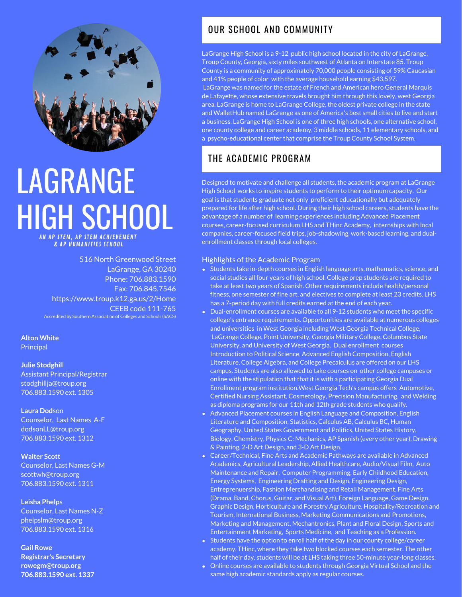

# LAGRANGE HIGH SCHOOL AP STEM, AP STEM ACHIEVEMENT & AP HUMANITIES SCHOOL

516 North Greenwood Street LaGrange, GA 30240 Phone: 706.883.1590 Fax: 706.845.7546 https://www.troup.k12.ga.us/2/Home CEEB code 111-765

Accredited by Southern Association of Colleges and Schools (SACS)

**Alton White Principal** 

**Julie Stodghil**l Assistant Principal/Registrar stodghillja@troup.org 706.883.1590 ext. 1305

**Laura Dod**son Counselor, Last Names A-F dodsonLL@troup.org 706.883.1590 ext. 1312

**Walter Scott** Counselor, Last Names G-M scottwh@troup.org 706.883.1590 ext. 1311

**Leisha Phelp**s Counselor, Last Names N-Z phelpslm@troup.org 706.883.1590 ext. 1316

**Gail Rowe Registrar's Secretary rowegm@troup.org 706.883.1590 ext. 1337**

#### OUR SCHOOL AND COMMUNITY

LaGrange High School is a 9-12 public high school located in the city of LaGrange, Troup County, Georgia, sixty miles southwest of Atlanta on Interstate 85. Troup County is a community of approximately 70,000 people consisting of 59% Caucasian and 41% people of color with the average household earning \$43,597. LaGrange was named for the estate of French and American hero General Marquis de Lafayette, whose extensive travels brought him through this lovely, west Georgia area. LaGrange is home to LaGrange College, the oldest private college in the state and WalletHub named LaGrange as one of America's best small cities to live and start a business. LaGrange High School is one of three high schools, one alternative school, one county college and career academy, 3 middle schools, 11 elementary schools, and a psycho-educational center that comprise the Troup County School System.

### THE ACADEMIC PROGRAM

Designed to motivate and challenge all students, the academic program at LaGrange High School works to inspire students to perform to their optimum capacity. Our goal is that students graduate not only proficient educationally but adequately prepared for life after high school. During their high school careers, students have the advantage of a number of learning experiences including Advanced Placement courses, career-focused curriculum LHS and THinc Academy, internships with local companies, career-focused field trips, job-shadowing, work-based learning, and dualenrollment classes through local colleges.

#### Highlights of the Academic Program

- Students take in-depth courses in English language arts, mathematics, science, and social studies all four years of high school. College prep students are required to take at least two years of Spanish. Other requirements include health/personal fitness, one semester of fine art, and electives to complete at least 23 credits. LHS has a 7-period day with full credits earned at the end of each year.
- Dual-enrollment courses are available to all 9-12 students who meet the specific college's entrance requirements. Opportunities are available at numerous colleges and universities in West Georgia including West Georgia Technical College, LaGrange College, Point University, Georgia Military College, Columbus State University, and University of West Georgia. Dual enrollment courses Introduction to Political Science, Advanced English Composition, English Literature, College Algebra, and College Precalculus are offered on our LHS campus. Students are also allowed to take courses on other college campuses or online with the stipulation that that it is with a participating Georgia Dual Enrollment program institution.West Georgia Tech's campus offers Automotive, Certified Nursing Assistant, Cosmetology, Precision Manufacturing, and Welding as diploma programs for our 11th and 12th grade students who qualify.
- Advanced Placement courses in English Language and Composition, English Literature and Composition, Statistics, Calculus AB, Calculus BC, Human Geography, United States Government and Politics, United States History, Biology, Chemistry, Physics C: Mechanics, AP Spanish (every other year), Drawing & Painting, 2-D Art Design, and 3-D Art Design.
- Career/Technical, Fine Arts and Academic Pathways are available in Advanced Academics, Agricultural Leadership, Allied Healthcare, Audio/Visual Film, Auto Maintenance and Repair, Computer Programming, Early Childhood Education, Energy Systems, Engineering Drafting and Design, Engineering Design, Entreprenuership, Fashion Merchandising and Retail Management, Fine Arts (Drama, Band, Chorus, Guitar, and Visual Art), Foreign Language, Game Design. Graphic Design, Horticulture and Forestry Agriculture, Hospitality/Recreation and Tourism, International Business, Marketing Communications and Promotions, Marketing and Management, Mechantronics, Plant and Floral Design, Sports and Entertainment Marketing, Sports Medicine, and Teaching as a Profession.
- Students have the option to enroll half of the day in our county college/career academy, THinc, where they take two blocked courses each semester. The other half of their day, students will be at LHS taking three 50-minute year-long classes.
- Online courses are available to students through Georgia Virtual School and the same high academic standards apply as regular courses.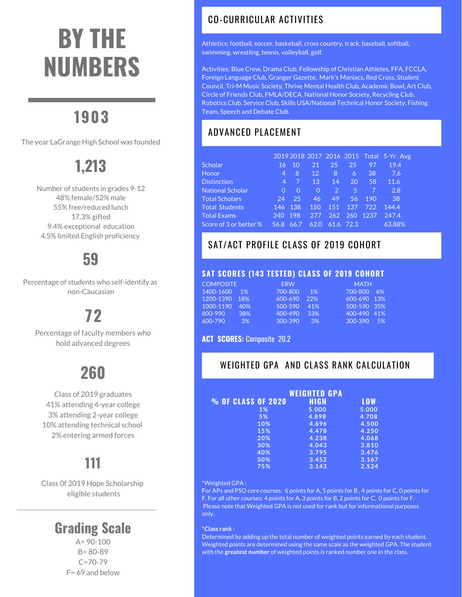# **BY THE NUMBERS**

# **1903**

The year LaGrange High School was founded

# **1,213**

Number of students in grades 9-12 48% female/52% male 55% free/reduced lunch 17.3% gifted 9.4% exceptional education 4.5% limited English proficiency

### **59**

Percentage of students who self-identify as non-Caucasian

# **72**

Percentage of faculty members who hold advanced degrees

# **260**

Class of 2019 graduates 41% attending 4-year college 3% attending 2-year college 10% attending technical school 2% entering armed forces

## **111**

Class 0f 2019 Hope Scholarship eligible students

### **Grading Scale**

A= 90-100 B= 80-89  $C = 70 - 79$ F= 69 and below

### CO-CURRICULAR ACTIVITIES

Athletics: football, soccer, baskeball, cross country, track, baseball, softball, swimming, wrestling, tennis, volleyball, golf.

Activities: Blue Crew, Drama Club, Fellowship of Christian Athletes, FFA, FCCLA, Foreign Language Club, Granger Gazette, Mark's Maniacs, Red Cross, Student Council, Tri-M Music Society, Thrive Mental Health Club, Academic Bowl, Art Club, Circle of Friends Club, FMLA/DECA, National Honor Society, Recycling Club, Robotics Club, Service Club, Skills USA/National Technical Honor Society, Fishing Team, Speech and Debate Club.

### ADVANCED PLACEMENT

|                         |          |          |          |               |           |      | 2019 2018 2017 2016 2015 Total 5-Yr. Avg |
|-------------------------|----------|----------|----------|---------------|-----------|------|------------------------------------------|
| <b>Scholar</b>          | 16       | 10       | 21       | 25            | 25        | 97   | 19.4                                     |
| <b>Honor</b>            | 4        | 8        | 12       | 8             | 6         | 38   | 7.6                                      |
| <b>Distinction</b>      | 4        | 7        | 13       | 14            | 20        | 58   | 11.6                                     |
| <b>National Scholar</b> | $\Omega$ | $\Omega$ | $\Omega$ | $\mathcal{P}$ | ا 5       | 7    | 2.8                                      |
| <b>Total Scholars</b>   | 24       | 25       | 46       | 49            | 56        | 190  | 38                                       |
| <b>Total Students</b>   | 146      | 138      | 150      | 151           | 137       | 722  | 144.4                                    |
| <b>Total Exams</b>      | 240      | 198      | 277      | 262           | 260       | 1237 | 247.4                                    |
| Score of 3 or better %  | 56.8     | 66.7'    | 62.0     |               | 61.6 72.3 |      | 63.88%                                   |

### SAT/ACT PROFILE CLASS OF 2019 COHORT

#### **SAT SCORES (143 TESTED) CLASS OF 2019 COHORT**

| <b>ERW</b> |                                             | <b>MATH</b> |     |
|------------|---------------------------------------------|-------------|-----|
| 700-800    | 1%                                          | 700-800     | -6% |
| 600-690    | 22%                                         | 600-690 13% |     |
| 500-590    | 41%                                         | 500-590 35% |     |
| 400-490    | 33%                                         | 400-490 41% |     |
| 300-390    | 3%                                          | $300 - 390$ | .5% |
|            | $1\%$<br>1200-1390 18%<br>40%<br>38%<br>3%1 |             |     |

#### **ACT SCORES:** Composite 20.2

#### WEIGHTED GPA AND CLASS RANK CALCULATION

|                    | <b>WEIGHTED GPA</b> |            |
|--------------------|---------------------|------------|
| % OF CLASS OF 2020 | HIGH                | <b>LOW</b> |
| $1\%$              | 5.000               | 5.000      |
| 5%                 | 4.898               | 4.708      |
| 10%                | 4.696               | 4.500      |
| 15%                | 4.478               | 4.250      |
| 20%                | 4.238               | 4.068      |
| 30%                | 4.043               | 3.810      |
| 40%                | 3.795               | 3.476      |
| 50%                | 3.452               | 3.167      |
| 75%                | 3.143               | 2.524      |

#### \*Weighted GPA :

For APs and PSO core courses: 6 points for A, 5 points for B , 4 points for C, 0 points for F. For all other courses: 4 points for A, 3 points for B, 2 points for C, 0 points for F. Please note that Weighted GPA is not used for rank but for informational purposes only.

#### **\*Class rank** :

Determined by adding up the total number of weighted points earned by each student. Weighted points are determined using the same scale as the weighted GPA. The student with the **greatest number** of weighted points is ranked number one in the class.